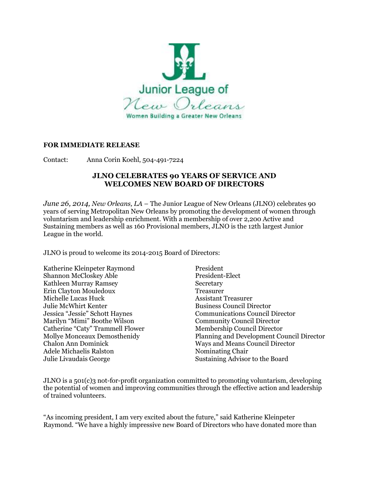

## **FOR IMMEDIATE RELEASE**

Contact: Anna Corin Koehl, 504-491-7224

## **JLNO CELEBRATES 90 YEARS OF SERVICE AND WELCOMES NEW BOARD OF DIRECTORS**

*June 26, 2014, New Orleans, LA* – The Junior League of New Orleans (JLNO) celebrates 90 years of serving Metropolitan New Orleans by promoting the development of women through voluntarism and leadership enrichment. With a membership of over 2,200 Active and Sustaining members as well as 160 Provisional members, JLNO is the 12th largest Junior League in the world.

JLNO is proud to welcome its 2014-2015 Board of Directors:

Katherine Kleinpeter Raymond President Shannon McCloskey Able President-Elect Kathleen Murray Ramsey Secretary Erin Clayton Mouledoux Treasurer Michelle Lucas Huck Assistant Treasurer Julie McWhirt Kenter Business Council Director Marilyn "Mimi" Boothe Wilson Community Council Director Catherine "Caty" Trammell Flower Membership Council Director Adele Michaelis Ralston Nominating Chair Julie Livaudais George Sustaining Advisor to the Board

Jessica "Jessie" Schott Haynes Communications Council Director Mollye Monceaux Demosthenidy Planning and Development Council Director Chalon Ann Dominick Ways and Means Council Director

JLNO is a 501(c)3 not-for-profit organization committed to promoting voluntarism, developing the potential of women and improving communities through the effective action and leadership of trained volunteers.

"As incoming president, I am very excited about the future," said Katherine Kleinpeter Raymond. "We have a highly impressive new Board of Directors who have donated more than